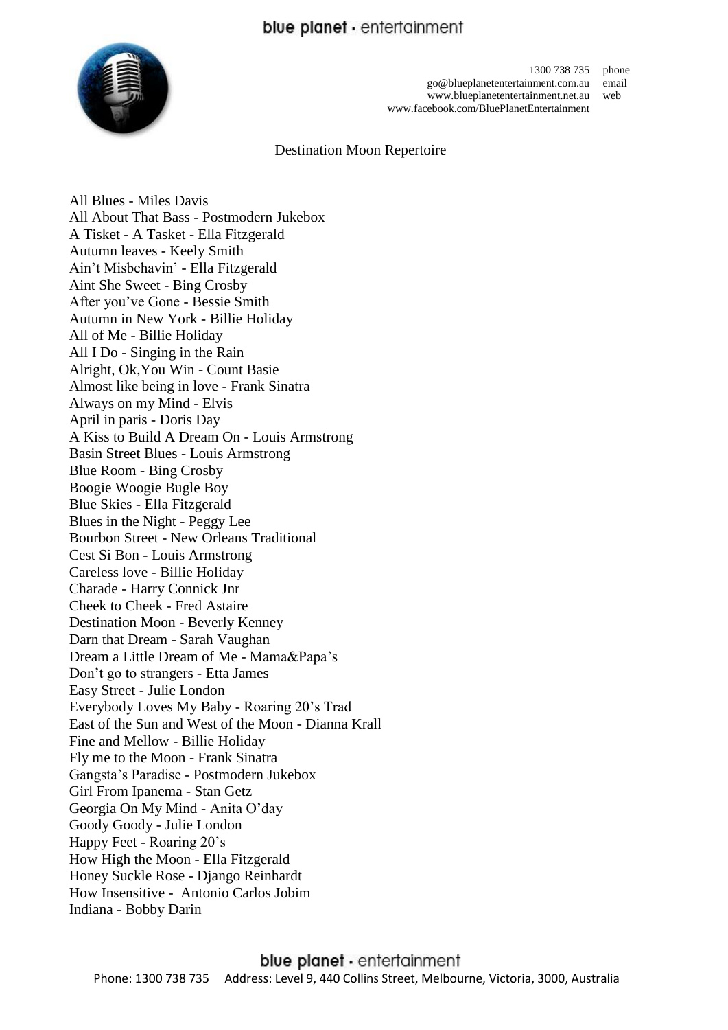## blue planet - entertainment



1300 738 735 phone go@blueplanetentertainment.com.au email www.blueplanetentertainment.net.au web www.facebook.com/BluePlanetEntertainment

### Destination Moon Repertoire

All Blues - Miles Davis All About That Bass - Postmodern Jukebox A Tisket - A Tasket - Ella Fitzgerald Autumn leaves - Keely Smith Ain't Misbehavin' - Ella Fitzgerald Aint She Sweet - Bing Crosby After you've Gone - Bessie Smith Autumn in New York - Billie Holiday All of Me - Billie Holiday All I Do - Singing in the Rain Alright, Ok,You Win - Count Basie Almost like being in love - Frank Sinatra Always on my Mind - Elvis April in paris - Doris Day A Kiss to Build A Dream On - Louis Armstrong Basin Street Blues - Louis Armstrong Blue Room - Bing Crosby Boogie Woogie Bugle Boy Blue Skies - Ella Fitzgerald Blues in the Night - Peggy Lee Bourbon Street - New Orleans Traditional Cest Si Bon - Louis Armstrong Careless love - Billie Holiday Charade - Harry Connick Jnr Cheek to Cheek - Fred Astaire Destination Moon - Beverly Kenney Darn that Dream - Sarah Vaughan Dream a Little Dream of Me - Mama&Papa's Don't go to strangers - Etta James Easy Street - Julie London Everybody Loves My Baby - Roaring 20's Trad East of the Sun and West of the Moon - Dianna Krall Fine and Mellow - Billie Holiday Fly me to the Moon - Frank Sinatra Gangsta's Paradise - Postmodern Jukebox Girl From Ipanema - Stan Getz Georgia On My Mind - Anita O'day Goody Goody - Julie London Happy Feet - Roaring 20's How High the Moon - Ella Fitzgerald Honey Suckle Rose - Django Reinhardt How Insensitive - Antonio Carlos Jobim Indiana - Bobby Darin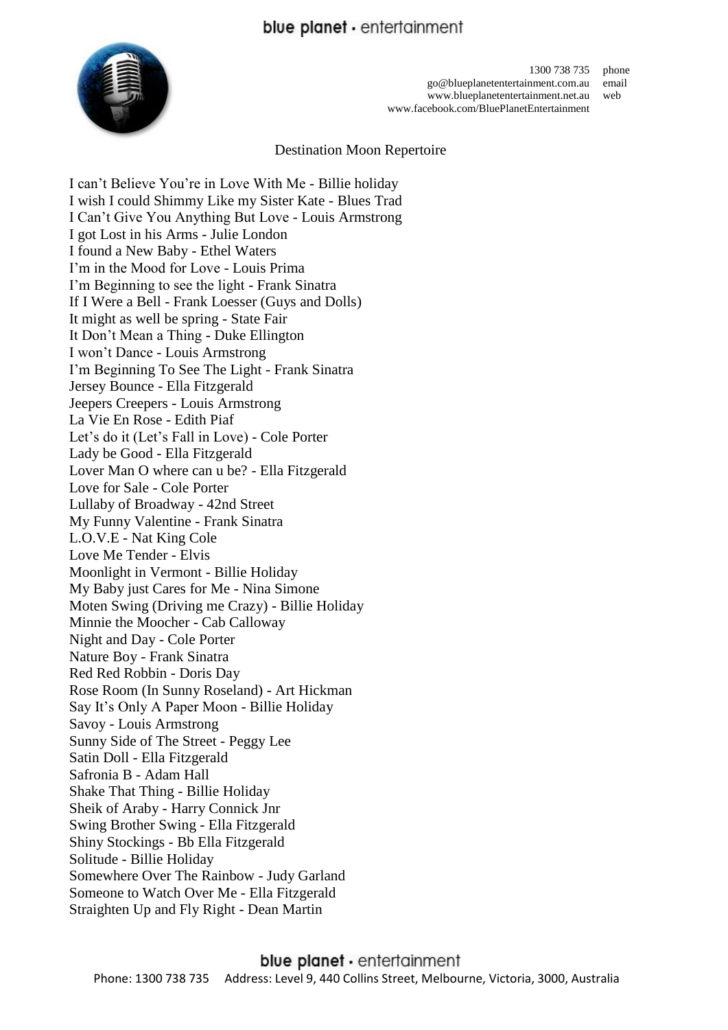# blue planet - entertainment



1300 738 735 phone go@blueplanetentertainment.com.au email www.blueplanetentertainment.net.au web www.facebook.com/BluePlanetEntertainment

Destination Moon Repertoire

I can't Believe You're in Love With Me - Billie holiday I wish I could Shimmy Like my Sister Kate - Blues Trad I Can't Give You Anything But Love - Louis Armstrong I got Lost in his Arms - Julie London I found a New Baby - Ethel Waters I'm in the Mood for Love - Louis Prima I'm Beginning to see the light - Frank Sinatra If I Were a Bell - Frank Loesser (Guys and Dolls) It might as well be spring - State Fair It Don't Mean a Thing - Duke Ellington I won't Dance - Louis Armstrong I'm Beginning To See The Light - Frank Sinatra Jersey Bounce - Ella Fitzgerald Jeepers Creepers - Louis Armstrong La Vie En Rose - Edith Piaf Let's do it (Let's Fall in Love) - Cole Porter Lady be Good - Ella Fitzgerald Lover Man O where can u be? - Ella Fitzgerald Love for Sale - Cole Porter Lullaby of Broadway - 42nd Street My Funny Valentine - Frank Sinatra L.O.V.E - Nat King Cole Love Me Tender - Elvis Moonlight in Vermont - Billie Holiday My Baby just Cares for Me - Nina Simone Moten Swing (Driving me Crazy) - Billie Holiday Minnie the Moocher - Cab Calloway Night and Day - Cole Porter Nature Boy - Frank Sinatra Red Red Robbin - Doris Day Rose Room (In Sunny Roseland) - Art Hickman Say It's Only A Paper Moon - Billie Holiday Savoy - Louis Armstrong Sunny Side of The Street - Peggy Lee Satin Doll - Ella Fitzgerald Safronia B - Adam Hall Shake That Thing - Billie Holiday Sheik of Araby - Harry Connick Jnr Swing Brother Swing - Ella Fitzgerald Shiny Stockings - Bb Ella Fitzgerald Solitude - Billie Holiday Somewhere Over The Rainbow - Judy Garland Someone to Watch Over Me - Ella Fitzgerald Straighten Up and Fly Right - Dean Martin